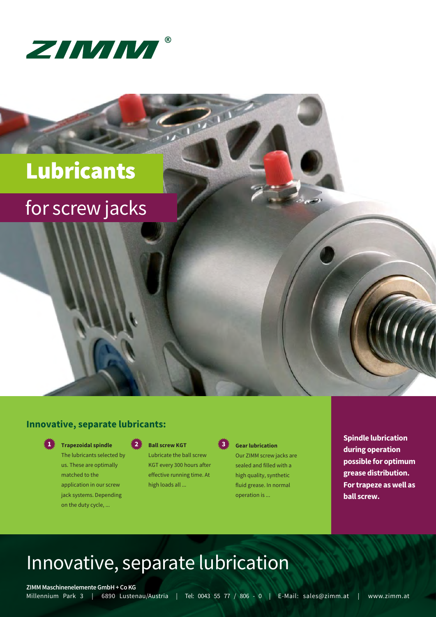

# Lubricants

## for screw jacks

### **Innovative, separate lubricants:**



**Trapezoidal spindle 1 2 3**

The lubricants selected by us. These are optimally matched to the application in our screw jack systems. Depending on the duty cycle, ...

#### **Ball screw KGT**

Lubricate the ball screw KGT every 300 hours after effective running time. At high loads all ...



 $\sum_{i=1}^n 1$ 

#### **Gear lubrication**

Our ZIMM screw jacks are sealed and filled with a high quality, synthetic fluid grease. In normal operation is ...

**Spindle lubrication during operation possible for optimum grease distribution. For trapeze as well as ball screw.**

## Innovative, separate lubrication

**ZIMM Maschinenelemente GmbH + Co KG**

Millennium Park 3 | 6890 Lustenau/Austria | Tel: 0043 55 77 / 806 - 0 | E-Mail: sales@zimm.at | www.zimm.at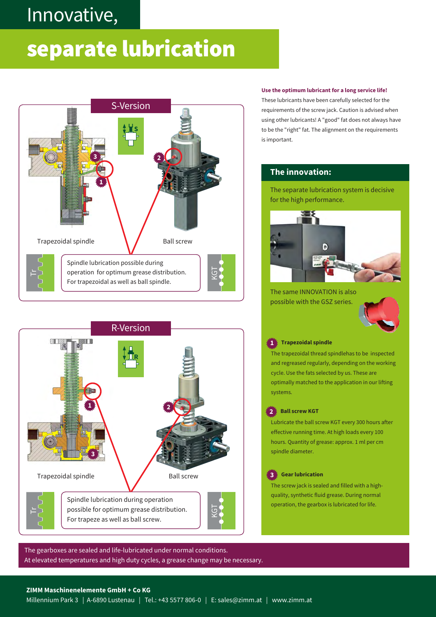## Innovative,

### Innovative Schmierung separate lubrication





#### **Use the optimum lubricant for a long service life!**

These lubricants have been carefully selected for the requirements of the screw jack. Caution is advised when using other lubricants! A "good" fat does not always have to be the "right" fat. The alignment on the requirements is important.

### **The innovation:**

The separate lubrication system is decisive for the high performance.



The same INNOVATION is also possible with the GSZ series.



#### **1 Trapezoidal spindle**

The trapezoidal thread spindlehas to be inspected and regreased regularly, depending on the working cycle. Use the fats selected by us. These are optimally matched to the application in our lifting systems.

#### **2 Ball screw KGT**

Lubricate the ball screw KGT every 300 hours after effective running time. At high loads every 100 hours. Quantity of grease: approx. 1 ml per cm spindle diameter.

#### **3 Gear lubrication**

The screw jack is sealed and filled with a highquality, synthetic fluid grease. During normal operation, the gearbox is lubricated for life.

The gearboxes are sealed and life-lubricated under normal conditions. At elevated temperatures and high duty cycles, a grease change may be necessary.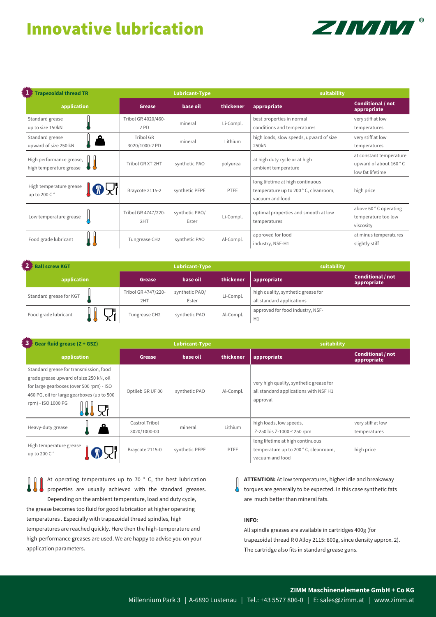### Innovative lubrication



| <b>Trapezoidal thread TR</b>                        | <b>Lubricant-Type</b>       |                         |           | suitability                                                                                 |                                                                       |
|-----------------------------------------------------|-----------------------------|-------------------------|-----------|---------------------------------------------------------------------------------------------|-----------------------------------------------------------------------|
| application                                         | Grease                      | base oil                | thickener | appropriate                                                                                 | <b>Conditional / not</b><br>appropriate                               |
| Standard grease<br>up to size 150kN                 | Tribol GR 4020/460-<br>2 PD | mineral                 | Li-Compl. | best properties in normal<br>conditions and temperatures                                    | very stiff at low<br>temperatures                                     |
| Standard grease<br>ഛ<br>upward of size 250 kN       | Tribol GR<br>3020/1000-2 PD | mineral                 | Lithium   | high loads, slow speeds, upward of size<br>250kN                                            | very stiff at low<br>temperatures                                     |
| High performance grease,<br>high temperature grease | Tribol GR XT 2HT            | synthetic PAO           | polyurea  | at high duty cycle or at high<br>ambient temperature                                        | at constant temperature<br>upward of about 160 °C<br>low fat lifetime |
| High temperature grease<br>up to 200 C °            | Braycote 2115-2             | synthetic PFPE          | PTFE      | long lifetime at high continuous<br>temperature up to 200 °C, cleanroom,<br>vacuum and food | high price                                                            |
| Low temperature grease                              | Tribol GR 4747/220-<br>2HT  | synthetic PAO/<br>Ester | Li-Compl. | optimal properties and smooth at low<br>temperatures                                        | above 60 °C operating<br>temperature too low<br>viscosity             |
| Food grade lubricant                                | Tungrease CH2               | synthetic PAO           | Al-Compl. | approved for food<br>industry, NSF-H1                                                       | at minus temperatures<br>slightly stiff                               |

| <b>Ball screw KGT</b>   |                            | <b>Lubricant-Type</b>   |           | suitability                                                     |                                         |
|-------------------------|----------------------------|-------------------------|-----------|-----------------------------------------------------------------|-----------------------------------------|
| application             | Grease                     | base oil                | thickener | <b>appropriate</b>                                              | <b>Conditional / not</b><br>appropriate |
| Standard grease for KGT | Tribol GR 4747/220-<br>2HT | synthetic PAO/<br>Ester | Li-Compl. | high quality, synthetic grease for<br>all standard applications |                                         |
| Food grade lubricant    | Tungrease CH2              | synthetic PAO           | Al-Compl. | approved for food industry, NSF-<br>H1                          |                                         |

| $3 \times$ Gear fluid grease (Z + GSZ)<br><b>Lubricant-Type</b>                                                                                                                                   |                                |                | suitability |                                                                                              |                                         |
|---------------------------------------------------------------------------------------------------------------------------------------------------------------------------------------------------|--------------------------------|----------------|-------------|----------------------------------------------------------------------------------------------|-----------------------------------------|
| application                                                                                                                                                                                       | Grease                         | base oil       | thickener   | appropriate                                                                                  | <b>Conditional / not</b><br>appropriate |
| Standard grease for transmission, food<br>grade grease upward of size 250 kN, oil<br>for large gearboxes (over 500 rpm) - ISO<br>460 PG, oil for large gearboxes (up to 500<br>rpm) - ISO 1000 PG | Optileb GR UF 00               | synthetic PAO  | Al-Compl.   | very high quality, synthetic grease for<br>all standard applications with NSF H1<br>approval |                                         |
| Heavy-duty grease                                                                                                                                                                                 | Castrol Tribol<br>3020/1000-00 | mineral        | Lithium     | high loads, low speeds,<br>Z-250 bis Z-1000 $\leq$ 250 rpm                                   | very stiff at low<br>temperatures       |
| High temperature grease<br>up to 200 C°                                                                                                                                                           | Braycote 2115-0                | synthetic PFPE | PTFE        | long lifetime at high continuous<br>temperature up to 200 °C, cleanroom,<br>vacuum and food  | high price                              |

At operating temperatures up to 70 ° C, the best lubrication properties are usually achieved with the standard greases. Depending on the ambient temperature, load and duty cycle, the grease becomes too fluid for good lubrication at higher operating temperatures . Especially with trapezoidal thread spindles, high temperatures are reached quickly. Here then the high-temperature and high-performance greases are used. We are happy to advise you on your application parameters.

**ATTENTION:** At low temperatures, higher idle and breakaway torques are generally to be expected. In this case synthetic fats are much better than mineral fats.

#### **INFO**:

 $\mu$ 

All spindle greases are available in cartridges 400g (for trapezoidal thread R 0 Alloy 2115: 800g, since density approx. 2). The cartridge also fits in standard grease guns.